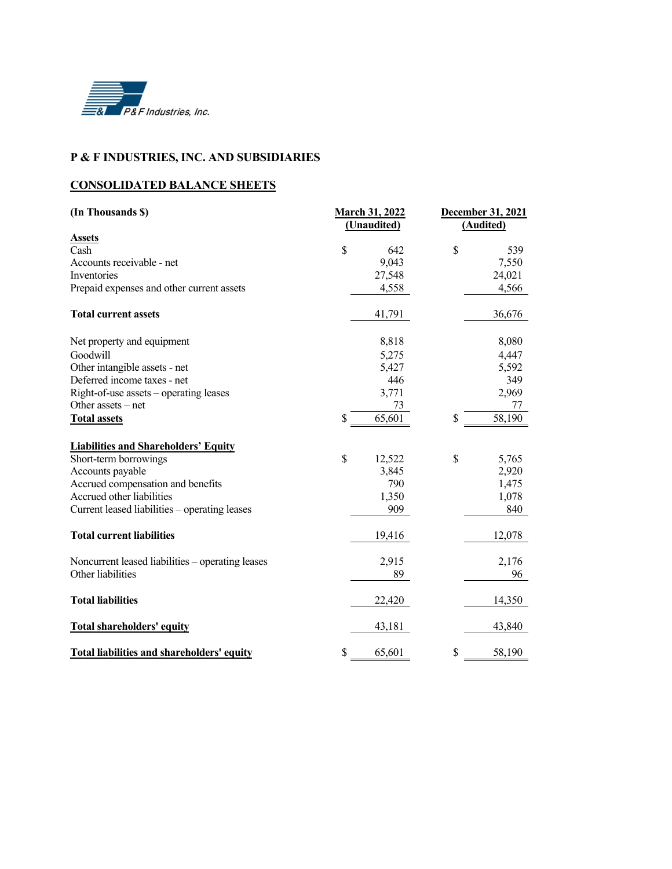

#### **P & F INDUSTRIES, INC. AND SUBSIDIARIES**

## **CONSOLIDATED BALANCE SHEETS**

| (In Thousands \$)                                 | <b>March 31, 2022</b><br>(Unaudited) |        | December 31, 2021<br>(Audited) |        |  |
|---------------------------------------------------|--------------------------------------|--------|--------------------------------|--------|--|
| <b>Assets</b>                                     |                                      |        |                                |        |  |
| Cash                                              | $\mathbf S$                          | 642    | \$                             | 539    |  |
| Accounts receivable - net                         |                                      | 9,043  |                                | 7,550  |  |
| Inventories                                       |                                      | 27,548 |                                | 24,021 |  |
| Prepaid expenses and other current assets         |                                      | 4,558  |                                | 4,566  |  |
| <b>Total current assets</b>                       |                                      | 41,791 |                                | 36,676 |  |
| Net property and equipment                        |                                      | 8,818  |                                | 8,080  |  |
| Goodwill                                          |                                      | 5,275  |                                | 4,447  |  |
| Other intangible assets - net                     |                                      | 5,427  |                                | 5,592  |  |
| Deferred income taxes - net                       |                                      | 446    |                                | 349    |  |
| Right-of-use assets – operating leases            |                                      | 3,771  |                                | 2,969  |  |
| Other assets $-$ net                              |                                      | 73     |                                | 77     |  |
| <b>Total assets</b>                               | \$                                   | 65,601 | \$                             | 58,190 |  |
| <b>Liabilities and Shareholders' Equity</b>       |                                      |        |                                |        |  |
| Short-term borrowings                             | \$                                   | 12,522 | \$                             | 5,765  |  |
| Accounts payable                                  |                                      | 3,845  |                                | 2,920  |  |
| Accrued compensation and benefits                 |                                      | 790    |                                | 1,475  |  |
| Accrued other liabilities                         |                                      | 1,350  |                                | 1,078  |  |
| Current leased liabilities – operating leases     |                                      | 909    |                                | 840    |  |
| <b>Total current liabilities</b>                  |                                      | 19,416 |                                | 12,078 |  |
| Noncurrent leased liabilities – operating leases  |                                      | 2,915  |                                | 2,176  |  |
| Other liabilities                                 |                                      | 89     |                                | 96     |  |
| <b>Total liabilities</b>                          |                                      | 22,420 |                                | 14,350 |  |
| <b>Total shareholders' equity</b>                 |                                      | 43,181 |                                | 43,840 |  |
| <b>Total liabilities and shareholders' equity</b> | \$                                   | 65,601 | \$                             | 58,190 |  |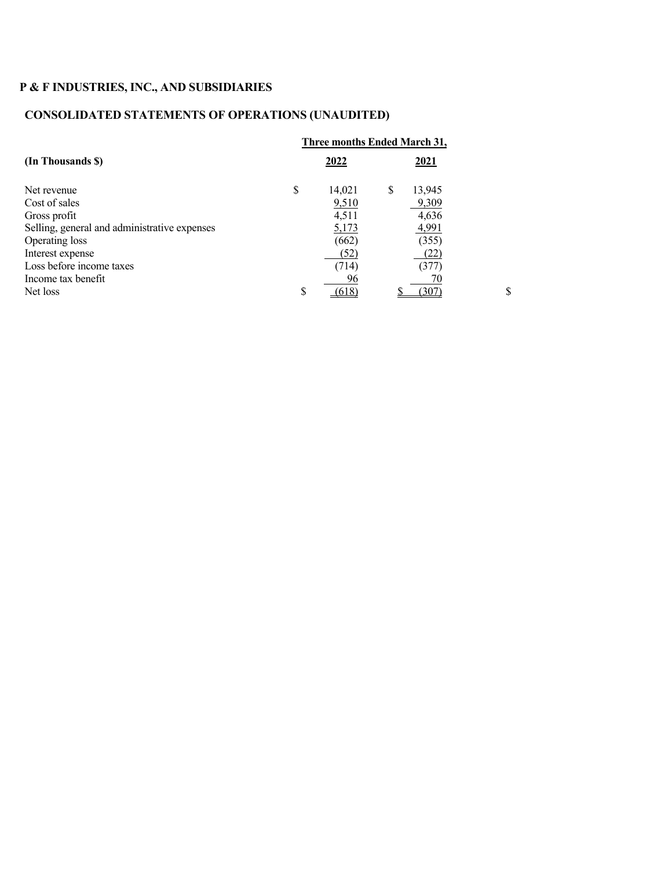# **P & F INDUSTRIES, INC., AND SUBSIDIARIES**

## **CONSOLIDATED STATEMENTS OF OPERATIONS (UNAUDITED)**

|                                              |    | Three months Ended March 31, |   |        |    |
|----------------------------------------------|----|------------------------------|---|--------|----|
| (In Thousands \$)                            |    | 2022                         |   | 2021   |    |
| Net revenue                                  | \$ | 14,021                       | S | 13,945 |    |
| Cost of sales                                |    | 9,510                        |   | 9,309  |    |
| Gross profit                                 |    | 4,511                        |   | 4,636  |    |
| Selling, general and administrative expenses |    | 5,173                        |   | 4,991  |    |
| Operating loss                               |    | (662)                        |   | (355)  |    |
| Interest expense                             |    | (52)                         |   | (22)   |    |
| Loss before income taxes                     |    | (714)                        |   | (377)  |    |
| Income tax benefit                           |    | 96                           |   |        |    |
| Net loss                                     | ¢  |                              |   |        | \$ |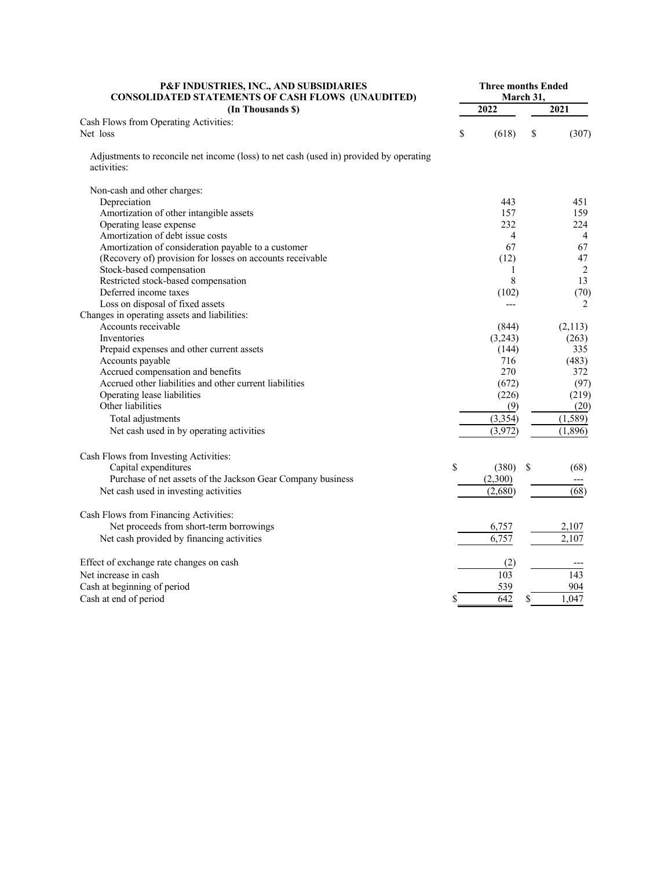| P&F INDUSTRIES, INC., AND SUBSIDIARIES<br><b>CONSOLIDATED STATEMENTS OF CASH FLOWS (UNAUDITED)</b>                                                                                                                                                                                                                                                                                                           |    | <b>Three months Ended</b><br><b>March 31,</b>                                                    |    |                                                                                             |  |  |
|--------------------------------------------------------------------------------------------------------------------------------------------------------------------------------------------------------------------------------------------------------------------------------------------------------------------------------------------------------------------------------------------------------------|----|--------------------------------------------------------------------------------------------------|----|---------------------------------------------------------------------------------------------|--|--|
| (In Thousands \$)                                                                                                                                                                                                                                                                                                                                                                                            |    | 2022                                                                                             |    | 2021                                                                                        |  |  |
| Cash Flows from Operating Activities:<br>Net loss                                                                                                                                                                                                                                                                                                                                                            | \$ | (618)                                                                                            | S  | (307)                                                                                       |  |  |
| Adjustments to reconcile net income (loss) to net cash (used in) provided by operating<br>activities:                                                                                                                                                                                                                                                                                                        |    |                                                                                                  |    |                                                                                             |  |  |
| Non-cash and other charges:<br>Depreciation<br>Amortization of other intangible assets<br>Operating lease expense<br>Amortization of debt issue costs<br>Amortization of consideration payable to a customer<br>(Recovery of) provision for losses on accounts receivable<br>Stock-based compensation<br>Restricted stock-based compensation<br>Deferred income taxes                                        |    | 443<br>157<br>232<br>4<br>67<br>(12)<br>1<br>8<br>(102)                                          |    | 451<br>159<br>224<br>$\overline{4}$<br>67<br>47<br>$\overline{2}$<br>13<br>(70)             |  |  |
| Loss on disposal of fixed assets<br>Changes in operating assets and liabilities:<br>Accounts receivable<br>Inventories<br>Prepaid expenses and other current assets<br>Accounts payable<br>Accrued compensation and benefits<br>Accrued other liabilities and other current liabilities<br>Operating lease liabilities<br>Other liabilities<br>Total adjustments<br>Net cash used in by operating activities |    | $---$<br>(844)<br>(3,243)<br>(144)<br>716<br>270<br>(672)<br>(226)<br>(9)<br>(3, 354)<br>(3,972) |    | 2<br>(2,113)<br>(263)<br>335<br>(483)<br>372<br>(97)<br>(219)<br>(20)<br>(1,589)<br>(1,896) |  |  |
| Cash Flows from Investing Activities:<br>Capital expenditures<br>Purchase of net assets of the Jackson Gear Company business<br>Net cash used in investing activities                                                                                                                                                                                                                                        | \$ | (380)<br>(2,300)<br>(2,680)                                                                      | \$ | (68)<br>(68)                                                                                |  |  |
| Cash Flows from Financing Activities:<br>Net proceeds from short-term borrowings<br>Net cash provided by financing activities                                                                                                                                                                                                                                                                                |    | 6,757<br>6.757                                                                                   |    | 2,107<br>2,107                                                                              |  |  |
| Effect of exchange rate changes on cash<br>Net increase in cash<br>Cash at beginning of period<br>Cash at end of period                                                                                                                                                                                                                                                                                      | \$ | (2)<br>103<br>539<br>642                                                                         | \$ | 143<br>904<br>1,047                                                                         |  |  |